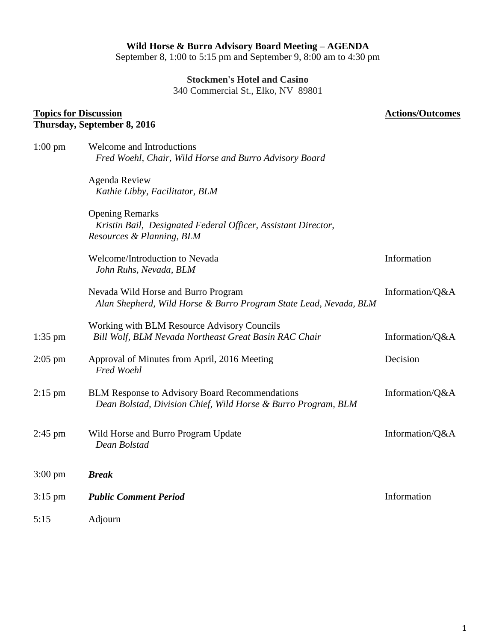# **Wild Horse & Burro Advisory Board Meeting – AGENDA**

September 8, 1:00 to 5:15 pm and September 9, 8:00 am to 4:30 pm

**Stockmen's Hotel and Casino**

340 Commercial St., Elko, NV 89801

#### **Topics for Discussion Thursday, September 8, 2016**

# **Actions/Outcomes**

| $1:00 \text{ pm}$ | Welcome and Introductions<br>Fred Woehl, Chair, Wild Horse and Burro Advisory Board                                    |                 |
|-------------------|------------------------------------------------------------------------------------------------------------------------|-----------------|
|                   | <b>Agenda Review</b><br>Kathie Libby, Facilitator, BLM                                                                 |                 |
|                   | <b>Opening Remarks</b><br>Kristin Bail, Designated Federal Officer, Assistant Director,<br>Resources & Planning, BLM   |                 |
|                   | Welcome/Introduction to Nevada<br>John Ruhs, Nevada, BLM                                                               | Information     |
|                   | Nevada Wild Horse and Burro Program<br>Alan Shepherd, Wild Horse & Burro Program State Lead, Nevada, BLM               | Information/Q&A |
| $1:35$ pm         | Working with BLM Resource Advisory Councils<br>Bill Wolf, BLM Nevada Northeast Great Basin RAC Chair                   | Information/Q&A |
| $2:05$ pm         | Approval of Minutes from April, 2016 Meeting<br><b>Fred Woehl</b>                                                      | Decision        |
| $2:15$ pm         | <b>BLM Response to Advisory Board Recommendations</b><br>Dean Bolstad, Division Chief, Wild Horse & Burro Program, BLM | Information/Q&A |
| $2:45$ pm         | Wild Horse and Burro Program Update<br>Dean Bolstad                                                                    | Information/Q&A |
| $3:00 \text{ pm}$ | <b>Break</b>                                                                                                           |                 |
| $3:15$ pm         | <b>Public Comment Period</b>                                                                                           | Information     |
| 5:15              | Adjourn                                                                                                                |                 |